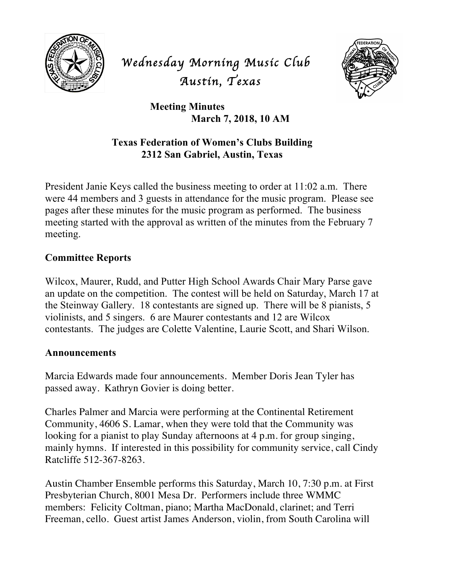

# *Wednesday Morning Music Club Austin, Texas*



**Meeting Minutes March 7, 2018, 10 AM**

## **Texas Federation of Women's Clubs Building 2312 San Gabriel, Austin, Texas**

President Janie Keys called the business meeting to order at 11:02 a.m. There were 44 members and 3 guests in attendance for the music program. Please see pages after these minutes for the music program as performed. The business meeting started with the approval as written of the minutes from the February 7 meeting.

## **Committee Reports**

Wilcox, Maurer, Rudd, and Putter High School Awards Chair Mary Parse gave an update on the competition. The contest will be held on Saturday, March 17 at the Steinway Gallery. 18 contestants are signed up. There will be 8 pianists, 5 violinists, and 5 singers. 6 are Maurer contestants and 12 are Wilcox contestants. The judges are Colette Valentine, Laurie Scott, and Shari Wilson.

#### **Announcements**

Marcia Edwards made four announcements. Member Doris Jean Tyler has passed away. Kathryn Govier is doing better.

Charles Palmer and Marcia were performing at the Continental Retirement Community, 4606 S. Lamar, when they were told that the Community was looking for a pianist to play Sunday afternoons at 4 p.m. for group singing, mainly hymns. If interested in this possibility for community service, call Cindy Ratcliffe 512-367-8263.

Austin Chamber Ensemble performs this Saturday, March 10, 7:30 p.m. at First Presbyterian Church, 8001 Mesa Dr. Performers include three WMMC members: Felicity Coltman, piano; Martha MacDonald, clarinet; and Terri Freeman, cello. Guest artist James Anderson, violin, from South Carolina will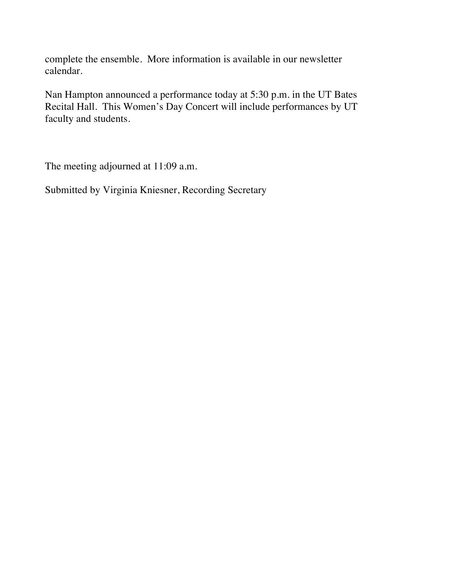complete the ensemble. More information is available in our newsletter calendar.

Nan Hampton announced a performance today at 5:30 p.m. in the UT Bates Recital Hall. This Women's Day Concert will include performances by UT faculty and students.

The meeting adjourned at 11:09 a.m.

Submitted by Virginia Kniesner, Recording Secretary